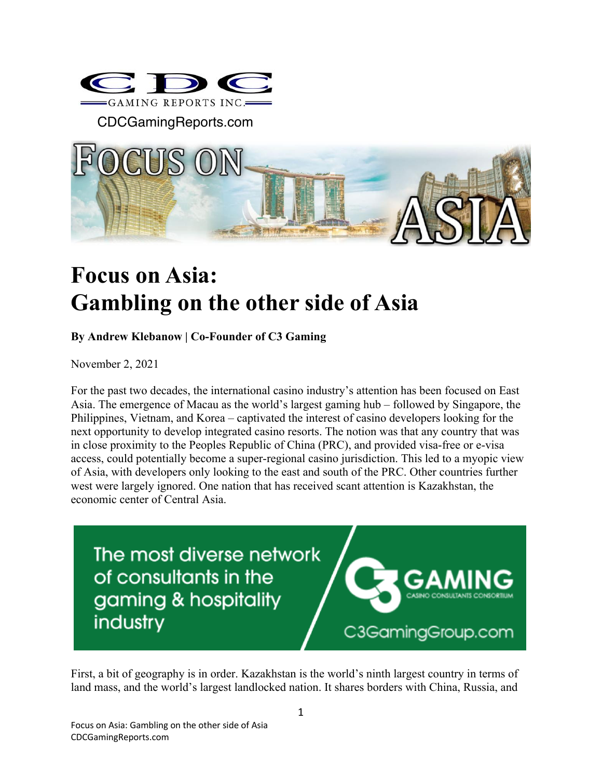

CDCGamingReports.com



## **Focus on Asia: Gambling on the other side of Asia**

**By Andrew Klebanow | Co-Founder of C3 Gaming**

November 2, 2021

For the past two decades, the international casino industry's attention has been focused on East Asia. The emergence of Macau as the world's largest gaming hub – followed by Singapore, the Philippines, Vietnam, and Korea – captivated the interest of casino developers looking for the next opportunity to develop integrated casino resorts. The notion was that any country that was in close proximity to the Peoples Republic of China (PRC), and provided visa-free or e-visa access, could potentially become a super-regional casino jurisdiction. This led to a myopic view of Asia, with developers only looking to the east and south of the PRC. Other countries further west were largely ignored. One nation that has received scant attention is Kazakhstan, the economic center of Central Asia.

The most diverse network of consultants in the gaming & hospitality industry



First, a bit of geography is in order. Kazakhstan is the world's ninth largest country in terms of land mass, and the world's largest landlocked nation. It shares borders with China, Russia, and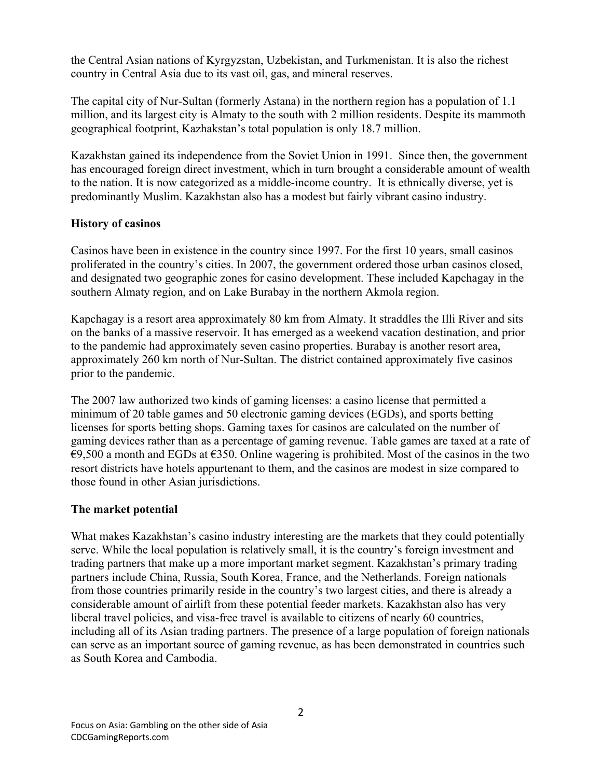the Central Asian nations of Kyrgyzstan, Uzbekistan, and Turkmenistan. It is also the richest country in Central Asia due to its vast oil, gas, and mineral reserves.

The capital city of Nur-Sultan (formerly Astana) in the northern region has a population of 1.1 million, and its largest city is Almaty to the south with 2 million residents. Despite its mammoth geographical footprint, Kazhakstan's total population is only 18.7 million.

Kazakhstan gained its independence from the Soviet Union in 1991. Since then, the government has encouraged foreign direct investment, which in turn brought a considerable amount of wealth to the nation. It is now categorized as a middle-income country. It is ethnically diverse, yet is predominantly Muslim. Kazakhstan also has a modest but fairly vibrant casino industry.

## **History of casinos**

Casinos have been in existence in the country since 1997. For the first 10 years, small casinos proliferated in the country's cities. In 2007, the government ordered those urban casinos closed, and designated two geographic zones for casino development. These included Kapchagay in the southern Almaty region, and on Lake Burabay in the northern Akmola region.

Kapchagay is a resort area approximately 80 km from Almaty. It straddles the Illi River and sits on the banks of a massive reservoir. It has emerged as a weekend vacation destination, and prior to the pandemic had approximately seven casino properties. Burabay is another resort area, approximately 260 km north of Nur-Sultan. The district contained approximately five casinos prior to the pandemic.

The 2007 law authorized two kinds of gaming licenses: a casino license that permitted a minimum of 20 table games and 50 electronic gaming devices (EGDs), and sports betting licenses for sports betting shops. Gaming taxes for casinos are calculated on the number of gaming devices rather than as a percentage of gaming revenue. Table games are taxed at a rate of  $\epsilon$ 9,500 a month and EGDs at  $\epsilon$ 350. Online wagering is prohibited. Most of the casinos in the two resort districts have hotels appurtenant to them, and the casinos are modest in size compared to those found in other Asian jurisdictions.

## **The market potential**

What makes Kazakhstan's casino industry interesting are the markets that they could potentially serve. While the local population is relatively small, it is the country's foreign investment and trading partners that make up a more important market segment. Kazakhstan's primary trading partners include China, Russia, South Korea, France, and the Netherlands. Foreign nationals from those countries primarily reside in the country's two largest cities, and there is already a considerable amount of airlift from these potential feeder markets. Kazakhstan also has very liberal travel policies, and visa-free travel is available to citizens of nearly 60 countries, including all of its Asian trading partners. The presence of a large population of foreign nationals can serve as an important source of gaming revenue, as has been demonstrated in countries such as South Korea and Cambodia.